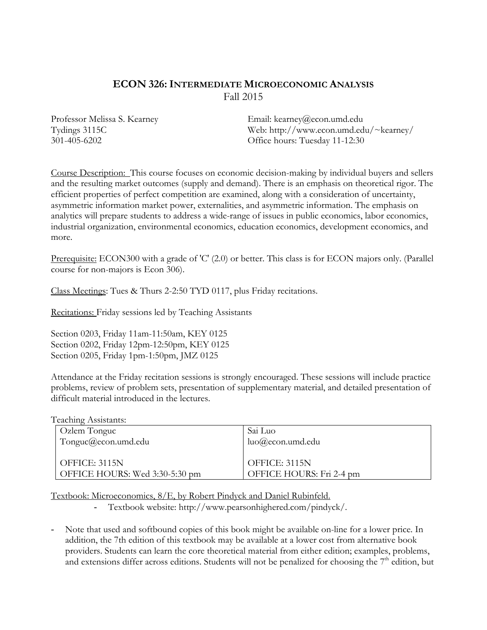# **ECON 326:INTERMEDIATE MICROECONOMIC ANALYSIS** Fall 2015

Professor Melissa S. Kearney Tydings 3115C 301-405-6202

Email: kearney@econ.umd.edu Web: http://www.econ.umd.edu/~kearney/ Office hours: Tuesday 11-12:30

Course Description: This course focuses on economic decision-making by individual buyers and sellers and the resulting market outcomes (supply and demand). There is an emphasis on theoretical rigor. The efficient properties of perfect competition are examined, along with a consideration of uncertainty, asymmetric information market power, externalities, and asymmetric information. The emphasis on analytics will prepare students to address a wide-range of issues in public economics, labor economics, industrial organization, environmental economics, education economics, development economics, and more.

Prerequisite: ECON300 with a grade of 'C' (2.0) or better. This class is for ECON majors only. (Parallel course for non-majors is Econ 306).

Class Meetings: Tues & Thurs 2-2:50 TYD 0117, plus Friday recitations.

Recitations: Friday sessions led by Teaching Assistants

Section 0203, Friday 11am-11:50am, KEY 0125 Section 0202, Friday 12pm-12:50pm, KEY 0125 Section 0205, Friday 1pm-1:50pm, JMZ 0125

Attendance at the Friday recitation sessions is strongly encouraged. These sessions will include practice problems, review of problem sets, presentation of supplementary material, and detailed presentation of difficult material introduced in the lectures.

Teaching Assistants:

| Ozlem Tonguc                   | Sai Luo                  |
|--------------------------------|--------------------------|
| Tonguc@econ.umd.edu            | $luo@econ.$ umd.edu      |
| OFFICE: 3115N                  | OFFICE: 3115N            |
| OFFICE HOURS: Wed 3:30-5:30 pm | OFFICE HOURS: Fri 2-4 pm |

Textbook: Microeconomics, 8/E, by Robert Pindyck and Daniel Rubinfeld.

- Textbook website: http://www.pearsonhighered.com/pindyck/.

Note that used and softbound copies of this book might be available on-line for a lower price. In addition, the 7th edition of this textbook may be available at a lower cost from alternative book providers. Students can learn the core theoretical material from either edition; examples, problems, and extensions differ across editions. Students will not be penalized for choosing the  $7<sup>th</sup>$  edition, but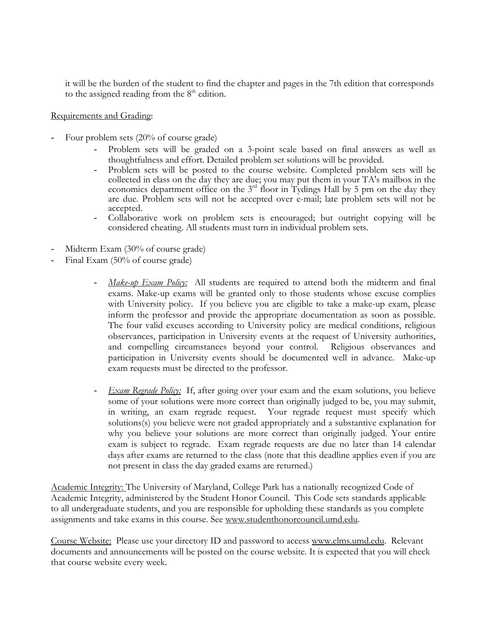it will be the burden of the student to find the chapter and pages in the 7th edition that corresponds to the assigned reading from the  $8<sup>th</sup>$  edition.

### Requirements and Grading:

- Four problem sets (20% of course grade)
	- Problem sets will be graded on a 3-point scale based on final answers as well as thoughtfulness and effort. Detailed problem set solutions will be provided.
	- Problem sets will be posted to the course website. Completed problem sets will be collected in class on the day they are due; you may put them in your TA's mailbox in the economics department office on the  $3<sup>rd</sup>$  floor in Tydings Hall by 5 pm on the day they are due. Problem sets will not be accepted over e-mail; late problem sets will not be
	- accepted.<br>Collaborative work on problem sets is encouraged; but outright copying will be considered cheating. All students must turn in individual problem sets.
- Midterm Exam (30% of course grade)
- Final Exam (50% of course grade)
	- *Make-up Exam Policy:* All students are required to attend both the midterm and final exams. Make-up exams will be granted only to those students whose excuse complies with University policy. If you believe you are eligible to take a make-up exam, please inform the professor and provide the appropriate documentation as soon as possible. The four valid excuses according to University policy are medical conditions, religious observances, participation in University events at the request of University authorities, and compelling circumstances beyond your control. Religious observances and participation in University events should be documented well in advance. Make-up exam requests must be directed to the professor.
	- *Exam Regrade Policy:*If, after going over your exam and the exam solutions, you believe some of your solutions were more correct than originally judged to be, you may submit, in writing, an exam regrade request. Your regrade request must specify which solutions(s) you believe were not graded appropriately and a substantive explanation for why you believe your solutions are more correct than originally judged. Your entire exam is subject to regrade. Exam regrade requests are due no later than 14 calendar days after exams are returned to the class (note that this deadline applies even if you are not present in class the day graded exams are returned.)

Academic Integrity: The University of Maryland, College Park has a nationally recognized Code of Academic Integrity, administered by the Student Honor Council. This Code sets standards applicable to all undergraduate students, and you are responsible for upholding these standards as you complete assignments and take exams in this course. See www.studenthonorcouncil.umd.edu.

Course Website: Please use your directory ID and password to access www.elms.umd.edu. Relevant documents and announcements will be posted on the course website. It is expected that you will check that course website every week.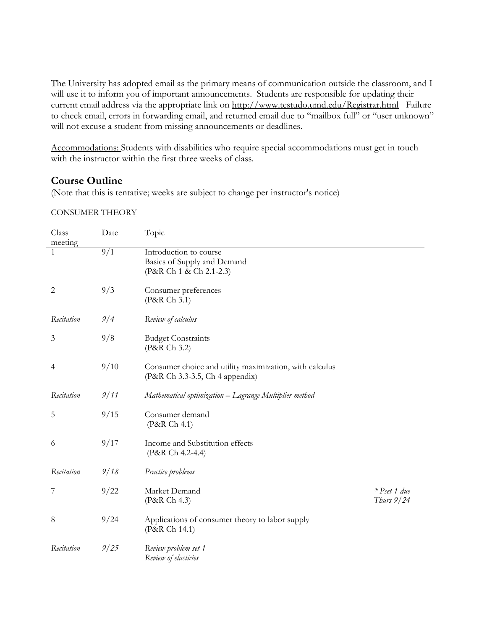The University has adopted email as the primary means of communication outside the classroom, and I will use it to inform you of important announcements. Students are responsible for updating their current email address via the appropriate link on http://www.testudo.umd.edu/Registrar.html Failure to check email, errors in forwarding email, and returned email due to "mailbox full" or "user unknown" will not excuse a student from missing announcements or deadlines.

Accommodations: Students with disabilities who require special accommodations must get in touch with the instructor within the first three weeks of class.

## **Course Outline**

(Note that this is tentative; weeks are subject to change per instructor's notice)

#### CONSUMER THEORY

| Class<br>meeting | Date | Topic                                                                                      |                                |
|------------------|------|--------------------------------------------------------------------------------------------|--------------------------------|
| 1                | 9/1  | Introduction to course<br>Basics of Supply and Demand<br>(P&R Ch 1 & Ch 2.1-2.3)           |                                |
| $\mathbf{2}$     | 9/3  | Consumer preferences<br>(P&R Ch 3.1)                                                       |                                |
| Recitation       | 9/4  | Review of calculus                                                                         |                                |
| 3                | 9/8  | <b>Budget Constraints</b><br>(P&R Ch 3.2)                                                  |                                |
| $\overline{4}$   | 9/10 | Consumer choice and utility maximization, with calculus<br>(P&R Ch 3.3-3.5, Ch 4 appendix) |                                |
| Recitation       | 9/11 | Mathematical optimization - Lagrange Multiplier method                                     |                                |
| 5                | 9/15 | Consumer demand<br>(P&R Ch 4.1)                                                            |                                |
| 6                | 9/17 | Income and Substitution effects<br>(P&R Ch 4.2-4.4)                                        |                                |
| Recitation       | 9/18 | Practice problems                                                                          |                                |
| 7                | 9/22 | Market Demand<br>(P&R Ch 4.3)                                                              | $*$ Pset 1 due<br>Thurs $9/24$ |
| $8\,$            | 9/24 | Applications of consumer theory to labor supply<br>(P&R Ch 14.1)                           |                                |
| Recitation       | 9/25 | Review problem set 1<br>Review of elasticies                                               |                                |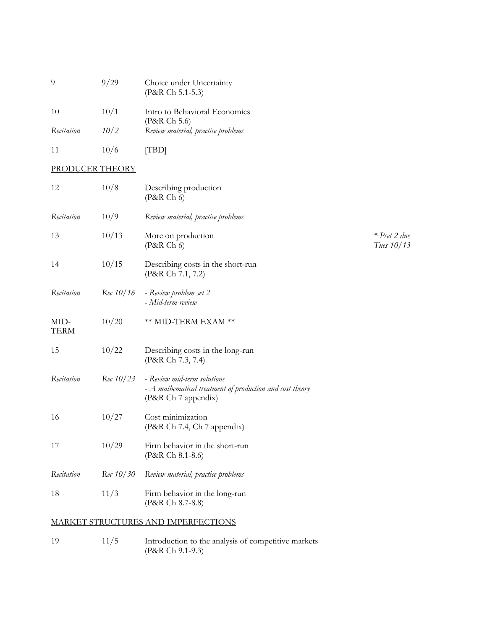|            | 9/29 | Choice under Uncertainty<br>(P&R Ch 5.1-5.3)  |
|------------|------|-----------------------------------------------|
| 10         | 10/1 | Intro to Behavioral Economics<br>(P&R Ch 5.6) |
| Recitation | 10/2 | Review material, practice problems            |
| 11         | 10/6 | [TBD]                                         |

## PRODUCER THEORY

| 12           | 10/8      | Describing production<br>(P&R Ch 6)                                                                            |                                |
|--------------|-----------|----------------------------------------------------------------------------------------------------------------|--------------------------------|
| Recitation   | 10/9      | Review material, practice problems                                                                             |                                |
| 13           | 10/13     | More on production<br>(P&R Ch 6)                                                                               | $*$ Pset 2 due<br>Tues $10/13$ |
| 14           | 10/15     | Describing costs in the short-run<br>(P&R Ch 7.1, 7.2)                                                         |                                |
| Recitation   | Rec 10/16 | - Review problem set 2<br>- Mid-term review                                                                    |                                |
| MID-<br>TERM | 10/20     | ** MID-TERM EXAM **                                                                                            |                                |
| 15           | 10/22     | Describing costs in the long-run<br>(P&R Ch 7.3, 7.4)                                                          |                                |
| Recitation   | Rec 10/23 | - Review mid-term solutions<br>- A mathematical treatment of production and cost theory<br>(P&R Ch 7 appendix) |                                |
| 16           | 10/27     | Cost minimization<br>(P&R Ch 7.4, Ch 7 appendix)                                                               |                                |
| 17           | 10/29     | Firm behavior in the short-run<br>(P&R Ch 8.1-8.6)                                                             |                                |
| Recitation   | Rec 10/30 | Review material, practice problems                                                                             |                                |
| 18           | 11/3      | Firm behavior in the long-run<br>(P&R Ch 8.7-8.8)                                                              |                                |
|              |           | <b>MARKET STRUCTURES AND IMPERFECTIONS</b>                                                                     |                                |
|              |           |                                                                                                                |                                |

19 11/5 Introduction to the analysis of competitive markets (P&R Ch 9.1-9.3)